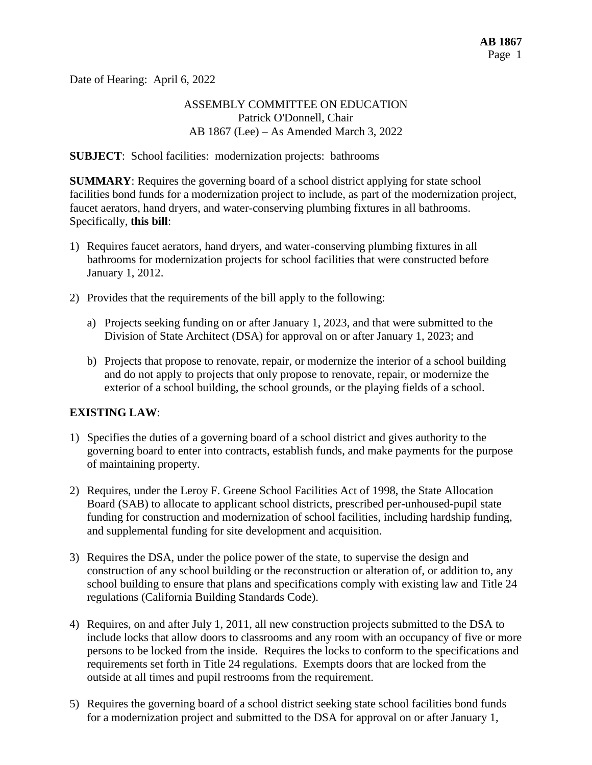Date of Hearing: April 6, 2022

# ASSEMBLY COMMITTEE ON EDUCATION Patrick O'Donnell, Chair AB 1867 (Lee) – As Amended March 3, 2022

### **SUBJECT**: School facilities: modernization projects: bathrooms

**SUMMARY**: Requires the governing board of a school district applying for state school facilities bond funds for a modernization project to include, as part of the modernization project, faucet aerators, hand dryers, and water-conserving plumbing fixtures in all bathrooms. Specifically, **this bill**:

- 1) Requires faucet aerators, hand dryers, and water-conserving plumbing fixtures in all bathrooms for modernization projects for school facilities that were constructed before January 1, 2012.
- 2) Provides that the requirements of the bill apply to the following:
	- a) Projects seeking funding on or after January 1, 2023, and that were submitted to the Division of State Architect (DSA) for approval on or after January 1, 2023; and
	- b) Projects that propose to renovate, repair, or modernize the interior of a school building and do not apply to projects that only propose to renovate, repair, or modernize the exterior of a school building, the school grounds, or the playing fields of a school.

# **EXISTING LAW**:

- 1) Specifies the duties of a governing board of a school district and gives authority to the governing board to enter into contracts, establish funds, and make payments for the purpose of maintaining property.
- 2) Requires, under the Leroy F. Greene School Facilities Act of 1998, the State Allocation Board (SAB) to allocate to applicant school districts, prescribed per-unhoused-pupil state funding for construction and modernization of school facilities, including hardship funding, and supplemental funding for site development and acquisition.
- 3) Requires the DSA, under the police power of the state, to supervise the design and construction of any school building or the reconstruction or alteration of, or addition to, any school building to ensure that plans and specifications comply with existing law and Title 24 regulations (California Building Standards Code).
- 4) Requires, on and after July 1, 2011, all new construction projects submitted to the DSA to include locks that allow doors to classrooms and any room with an occupancy of five or more persons to be locked from the inside. Requires the locks to conform to the specifications and requirements set forth in Title 24 regulations. Exempts doors that are locked from the outside at all times and pupil restrooms from the requirement.
- 5) Requires the governing board of a school district seeking state school facilities bond funds for a modernization project and submitted to the DSA for approval on or after January 1,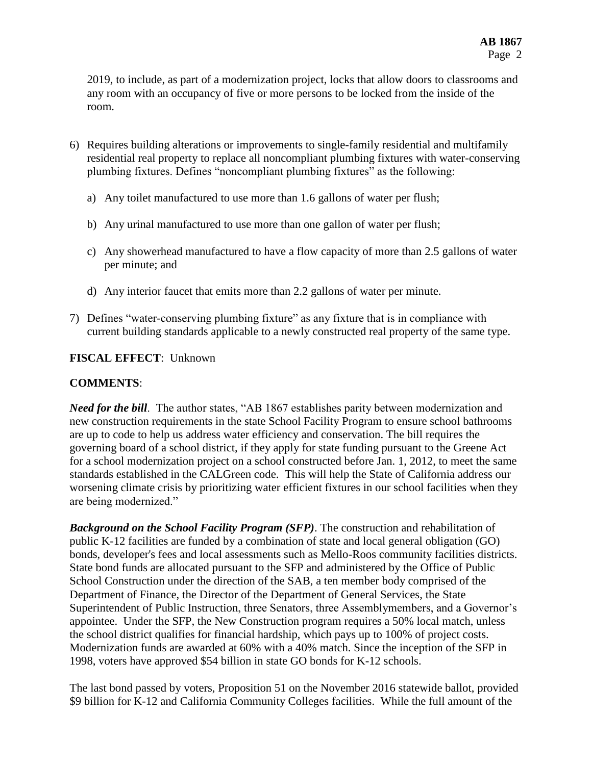2019, to include, as part of a modernization project, locks that allow doors to classrooms and any room with an occupancy of five or more persons to be locked from the inside of the room.

- 6) Requires building alterations or improvements to single-family residential and multifamily residential real property to replace all noncompliant plumbing fixtures with water-conserving plumbing fixtures. Defines "noncompliant plumbing fixtures" as the following:
	- a) Any toilet manufactured to use more than 1.6 gallons of water per flush;
	- b) Any urinal manufactured to use more than one gallon of water per flush;
	- c) Any showerhead manufactured to have a flow capacity of more than 2.5 gallons of water per minute; and
	- d) Any interior faucet that emits more than 2.2 gallons of water per minute.
- 7) Defines "water-conserving plumbing fixture" as any fixture that is in compliance with current building standards applicable to a newly constructed real property of the same type.

### **FISCAL EFFECT**: Unknown

### **COMMENTS**:

*Need for the bill*. The author states, "AB 1867 establishes parity between modernization and new construction requirements in the state School Facility Program to ensure school bathrooms are up to code to help us address water efficiency and conservation. The bill requires the governing board of a school district, if they apply for state funding pursuant to the Greene Act for a school modernization project on a school constructed before Jan. 1, 2012, to meet the same standards established in the CALGreen code. This will help the State of California address our worsening climate crisis by prioritizing water efficient fixtures in our school facilities when they are being modernized."

*Background on the School Facility Program (SFP)*. The construction and rehabilitation of public K-12 facilities are funded by a combination of state and local general obligation (GO) bonds, developer's fees and local assessments such as Mello-Roos community facilities districts. State bond funds are allocated pursuant to the SFP and administered by the Office of Public School Construction under the direction of the SAB, a ten member body comprised of the Department of Finance, the Director of the Department of General Services, the State Superintendent of Public Instruction, three Senators, three Assemblymembers, and a Governor's appointee. Under the SFP, the New Construction program requires a 50% local match, unless the school district qualifies for financial hardship, which pays up to 100% of project costs. Modernization funds are awarded at 60% with a 40% match. Since the inception of the SFP in 1998, voters have approved \$54 billion in state GO bonds for K-12 schools.

The last bond passed by voters, Proposition 51 on the November 2016 statewide ballot, provided \$9 billion for K-12 and California Community Colleges facilities. While the full amount of the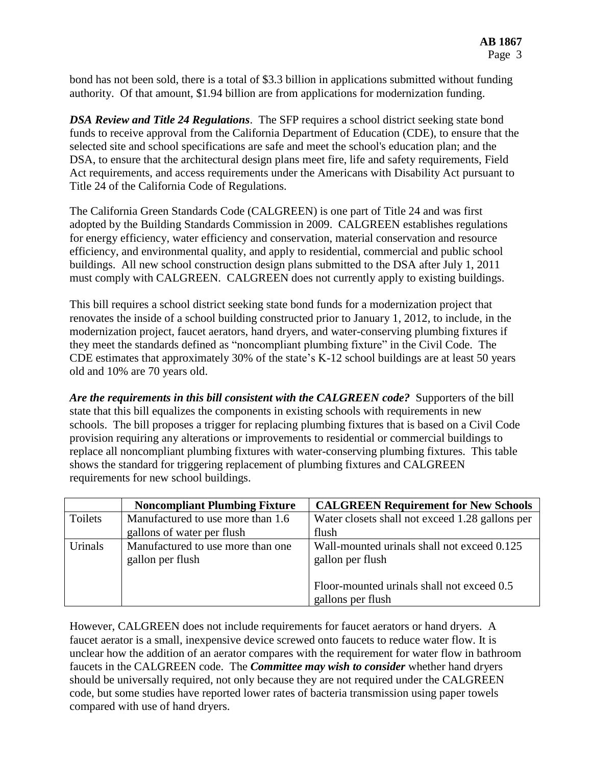bond has not been sold, there is a total of \$3.3 billion in applications submitted without funding authority. Of that amount, \$1.94 billion are from applications for modernization funding.

*DSA Review and Title 24 Regulations*. The SFP requires a school district seeking state bond funds to receive approval from the California Department of Education (CDE), to ensure that the selected site and school specifications are safe and meet the school's education plan; and the DSA, to ensure that the architectural design plans meet fire, life and safety requirements, Field Act requirements, and access requirements under the Americans with Disability Act pursuant to Title 24 of the California Code of Regulations.

The California Green Standards Code (CALGREEN) is one part of Title 24 and was first adopted by the Building Standards Commission in 2009. CALGREEN establishes regulations for energy efficiency, water efficiency and conservation, material conservation and resource efficiency, and environmental quality, and apply to residential, commercial and public school buildings. All new school construction design plans submitted to the DSA after July 1, 2011 must comply with CALGREEN. CALGREEN does not currently apply to existing buildings.

This bill requires a school district seeking state bond funds for a modernization project that renovates the inside of a school building constructed prior to January 1, 2012, to include, in the modernization project, faucet aerators, hand dryers, and water-conserving plumbing fixtures if they meet the standards defined as "noncompliant plumbing fixture" in the Civil Code. The CDE estimates that approximately 30% of the state's K-12 school buildings are at least 50 years old and 10% are 70 years old.

*Are the requirements in this bill consistent with the CALGREEN code?* Supporters of the bill state that this bill equalizes the components in existing schools with requirements in new schools. The bill proposes a trigger for replacing plumbing fixtures that is based on a Civil Code provision requiring any alterations or improvements to residential or commercial buildings to replace all noncompliant plumbing fixtures with water-conserving plumbing fixtures. This table shows the standard for triggering replacement of plumbing fixtures and CALGREEN requirements for new school buildings.

|         | <b>Noncompliant Plumbing Fixture</b>                  | <b>CALGREEN Requirement for New Schools</b>                     |
|---------|-------------------------------------------------------|-----------------------------------------------------------------|
| Toilets | Manufactured to use more than 1.6                     | Water closets shall not exceed 1.28 gallons per                 |
|         | gallons of water per flush                            | flush                                                           |
| Urinals | Manufactured to use more than one<br>gallon per flush | Wall-mounted urinals shall not exceed 0.125<br>gallon per flush |
|         |                                                       | Floor-mounted urinals shall not exceed 0.5<br>gallons per flush |
|         |                                                       |                                                                 |

However, CALGREEN does not include requirements for faucet aerators or hand dryers. A faucet aerator is a small, inexpensive device screwed onto faucets to reduce water flow. It is unclear how the addition of an aerator compares with the requirement for water flow in bathroom faucets in the CALGREEN code. The *Committee may wish to consider* whether hand dryers should be universally required, not only because they are not required under the CALGREEN code, but some studies have reported lower rates of bacteria transmission using paper towels compared with use of hand dryers.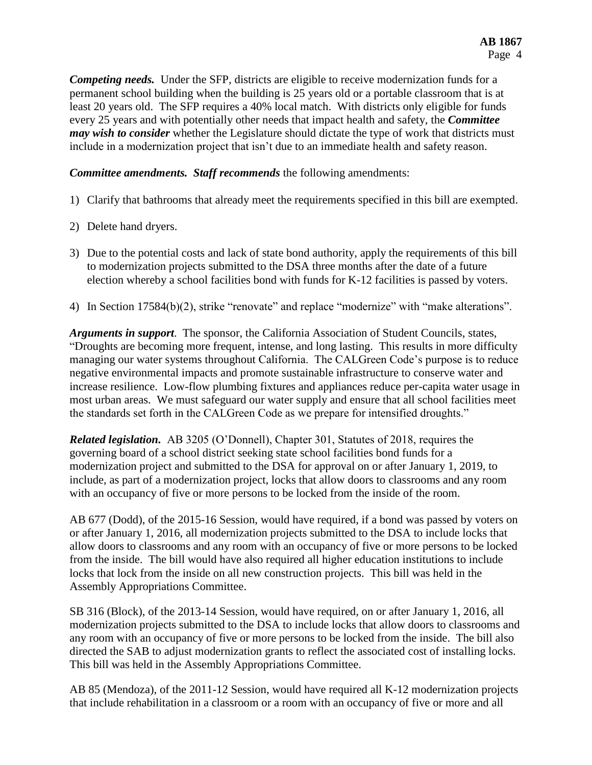*Competing needs.* Under the SFP, districts are eligible to receive modernization funds for a permanent school building when the building is 25 years old or a portable classroom that is at least 20 years old. The SFP requires a 40% local match. With districts only eligible for funds every 25 years and with potentially other needs that impact health and safety, the *Committee may wish to consider* whether the Legislature should dictate the type of work that districts must include in a modernization project that isn't due to an immediate health and safety reason.

*Committee amendments. Staff recommends* the following amendments:

- 1) Clarify that bathrooms that already meet the requirements specified in this bill are exempted.
- 2) Delete hand dryers.
- 3) Due to the potential costs and lack of state bond authority, apply the requirements of this bill to modernization projects submitted to the DSA three months after the date of a future election whereby a school facilities bond with funds for K-12 facilities is passed by voters.
- 4) In Section 17584(b)(2), strike "renovate" and replace "modernize" with "make alterations".

*Arguments in support*. The sponsor, the California Association of Student Councils, states, "Droughts are becoming more frequent, intense, and long lasting. This results in more difficulty managing our water systems throughout California. The CALGreen Code's purpose is to reduce negative environmental impacts and promote sustainable infrastructure to conserve water and increase resilience. Low-flow plumbing fixtures and appliances reduce per-capita water usage in most urban areas. We must safeguard our water supply and ensure that all school facilities meet the standards set forth in the CALGreen Code as we prepare for intensified droughts."

*Related legislation.* AB 3205 (O'Donnell), Chapter 301, Statutes of 2018, requires the governing board of a school district seeking state school facilities bond funds for a modernization project and submitted to the DSA for approval on or after January 1, 2019, to include, as part of a modernization project, locks that allow doors to classrooms and any room with an occupancy of five or more persons to be locked from the inside of the room.

AB 677 (Dodd), of the 2015-16 Session, would have required, if a bond was passed by voters on or after January 1, 2016, all modernization projects submitted to the DSA to include locks that allow doors to classrooms and any room with an occupancy of five or more persons to be locked from the inside. The bill would have also required all higher education institutions to include locks that lock from the inside on all new construction projects. This bill was held in the Assembly Appropriations Committee.

SB 316 (Block), of the 2013-14 Session, would have required, on or after January 1, 2016, all modernization projects submitted to the DSA to include locks that allow doors to classrooms and any room with an occupancy of five or more persons to be locked from the inside. The bill also directed the SAB to adjust modernization grants to reflect the associated cost of installing locks. This bill was held in the Assembly Appropriations Committee.

AB 85 (Mendoza), of the 2011-12 Session, would have required all K-12 modernization projects that include rehabilitation in a classroom or a room with an occupancy of five or more and all